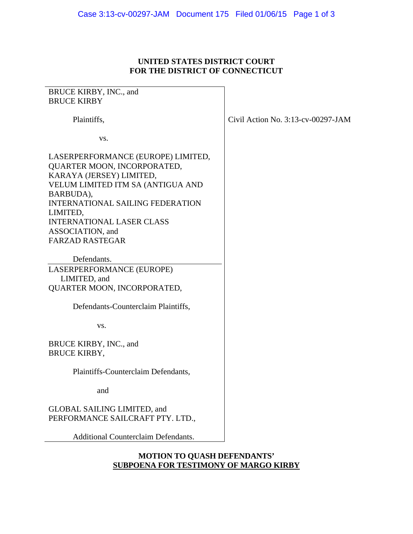#### **UNITED STATES DISTRICT COURT FOR THE DISTRICT OF CONNECTICUT**

# BRUCE KIRBY, INC., and BRUCE KIRBY Plaintiffs,

vs.

LASERPERFORMANCE (EUROPE) LIMITED, QUARTER MOON, INCORPORATED, KARAYA (JERSEY) LIMITED, VELUM LIMITED ITM SA (ANTIGUA AND BARBUDA), INTERNATIONAL SAILING FEDERATION LIMITED, INTERNATIONAL LASER CLASS ASSOCIATION, and FARZAD RASTEGAR

 Defendants. LASERPERFORMANCE (EUROPE) LIMITED, and QUARTER MOON, INCORPORATED,

Defendants-Counterclaim Plaintiffs,

vs.

BRUCE KIRBY, INC., and BRUCE KIRBY,

Plaintiffs-Counterclaim Defendants,

and

## GLOBAL SAILING LIMITED, and PERFORMANCE SAILCRAFT PTY. LTD.,

Additional Counterclaim Defendants.

### **MOTION TO QUASH DEFENDANTS' SUBPOENA FOR TESTIMONY OF MARGO KIRBY**

Civil Action No. 3:13-cv-00297-JAM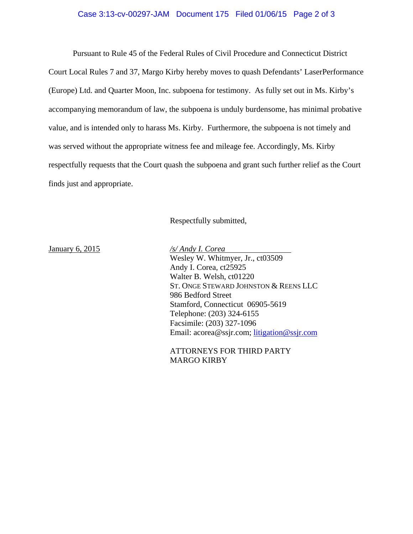#### Case 3:13-cv-00297-JAM Document 175 Filed 01/06/15 Page 2 of 3

 Pursuant to Rule 45 of the Federal Rules of Civil Procedure and Connecticut District Court Local Rules 7 and 37, Margo Kirby hereby moves to quash Defendants' LaserPerformance (Europe) Ltd. and Quarter Moon, Inc. subpoena for testimony. As fully set out in Ms. Kirby's accompanying memorandum of law, the subpoena is unduly burdensome, has minimal probative value, and is intended only to harass Ms. Kirby. Furthermore, the subpoena is not timely and was served without the appropriate witness fee and mileage fee. Accordingly, Ms. Kirby respectfully requests that the Court quash the subpoena and grant such further relief as the Court finds just and appropriate.

Respectfully submitted,

January 6, 2015 */s/ Andy I. Corea*  Wesley W. Whitmyer, Jr., ct03509 Andy I. Corea, ct25925 Walter B. Welsh, ct01220 ST. ONGE STEWARD JOHNSTON & REENS LLC 986 Bedford Street Stamford, Connecticut 06905-5619 Telephone: (203) 324-6155 Facsimile: (203) 327-1096 Email: acorea@ssjr.com; litigation@ssjr.com

> ATTORNEYS FOR THIRD PARTY MARGO KIRBY